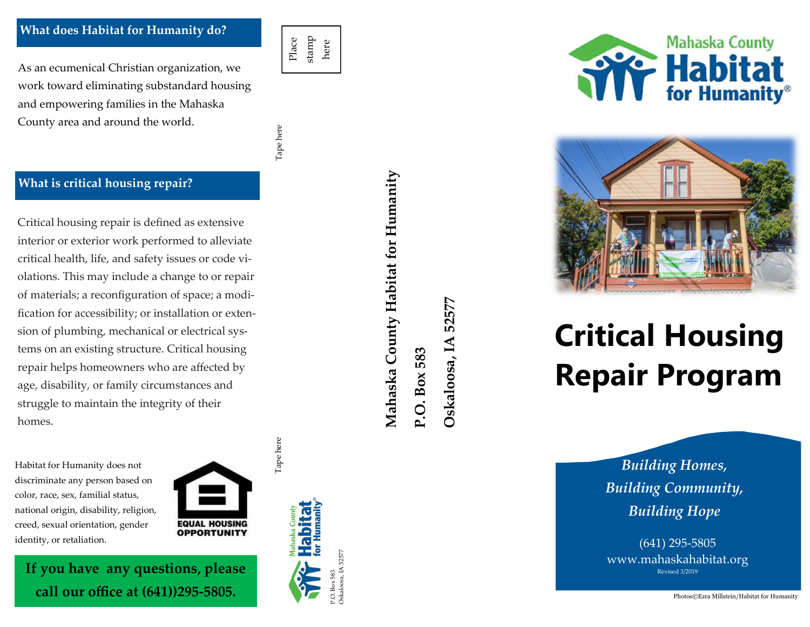#### **What does Habitat for Humanity do?**

As an ecumenical Christian organization, we work toward eliminating substandard housing and empowering families in the Mahaska County area and around the world.

Tape here Tape here Tape here

Tape here

Place stamp here

#### **What is critical housing repair?**

Critical housing repair is defined as extensive interior or exterior work performed to alleviate critical health, life, and safety issues or code vi olations. This may include a change to or repair of materials; a reconfiguration of space; a modification for accessibility; or installation or extension of plumbing, mechanical or electrical systems on an existing structure. Critical housing repair helps homeowners who are affected by age, disability, or family circumstances and struggle to maintain the integrity of their homes.

**If you have any questions, please** 

**call our office at (641))295 -5805.**

Habitat for Humanity does not discriminate any person based on color, race, sex, familial status, national origin, disability, religion, creed, sexual orientation, gender identity, or retaliation.



P.O. Box 583 Oskaloosa, IA 52577







# **Critical Housing Repair Program**

*Building Homes, Building Community, Building Hope*

(641) 295 -5805 www.mahaskahabitat.org Revised 3/2019